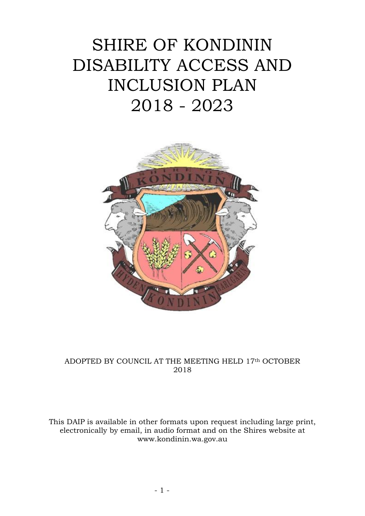# SHIRE OF KONDININ DISABILITY ACCESS AND INCLUSION PLAN 2018 - 2023



## ADOPTED BY COUNCIL AT THE MEETING HELD 17th OCTOBER 2018

This DAIP is available in other formats upon request including large print, electronically by email, in audio format and on the Shires website at www.kondinin.wa.gov.au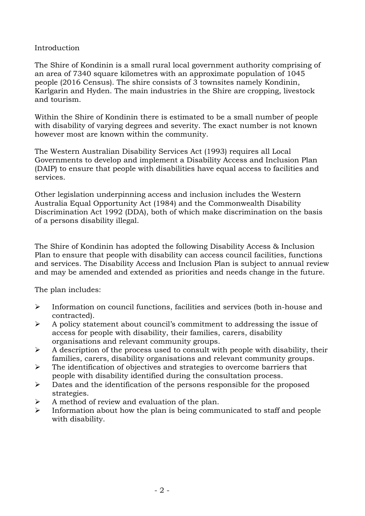#### Introduction

The Shire of Kondinin is a small rural local government authority comprising of an area of 7340 square kilometres with an approximate population of 1045 people (2016 Census). The shire consists of 3 townsites namely Kondinin, Karlgarin and Hyden. The main industries in the Shire are cropping, livestock and tourism.

Within the Shire of Kondinin there is estimated to be a small number of people with disability of varying degrees and severity. The exact number is not known however most are known within the community.

The Western Australian Disability Services Act (1993) requires all Local Governments to develop and implement a Disability Access and Inclusion Plan (DAIP) to ensure that people with disabilities have equal access to facilities and services.

Other legislation underpinning access and inclusion includes the Western Australia Equal Opportunity Act (1984) and the Commonwealth Disability Discrimination Act 1992 (DDA), both of which make discrimination on the basis of a persons disability illegal.

The Shire of Kondinin has adopted the following Disability Access & Inclusion Plan to ensure that people with disability can access council facilities, functions and services. The Disability Access and Inclusion Plan is subject to annual review and may be amended and extended as priorities and needs change in the future.

The plan includes:

- Information on council functions, facilities and services (both in-house and contracted).
- $\triangleright$  A policy statement about council's commitment to addressing the issue of access for people with disability, their families, carers, disability organisations and relevant community groups.
- $\triangleright$  A description of the process used to consult with people with disability, their families, carers, disability organisations and relevant community groups.
- $\triangleright$  The identification of objectives and strategies to overcome barriers that people with disability identified during the consultation process.
- $\triangleright$  Dates and the identification of the persons responsible for the proposed strategies.
- A method of review and evaluation of the plan.
- $\triangleright$  Information about how the plan is being communicated to staff and people with disability.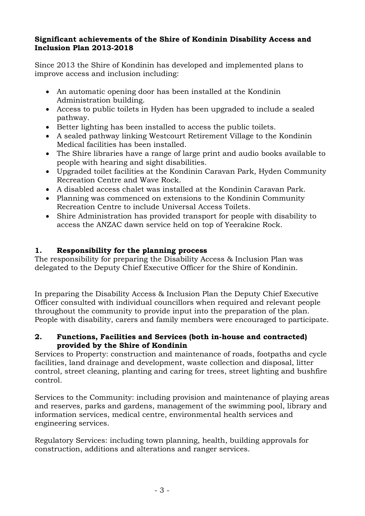#### **Significant achievements of the Shire of Kondinin Disability Access and Inclusion Plan 2013-2018**

Since 2013 the Shire of Kondinin has developed and implemented plans to improve access and inclusion including:

- An automatic opening door has been installed at the Kondinin Administration building.
- Access to public toilets in Hyden has been upgraded to include a sealed pathway.
- Better lighting has been installed to access the public toilets.
- A sealed pathway linking Westcourt Retirement Village to the Kondinin Medical facilities has been installed.
- The Shire libraries have a range of large print and audio books available to people with hearing and sight disabilities.
- Upgraded toilet facilities at the Kondinin Caravan Park, Hyden Community Recreation Centre and Wave Rock.
- A disabled access chalet was installed at the Kondinin Caravan Park.
- Planning was commenced on extensions to the Kondinin Community Recreation Centre to include Universal Access Toilets.
- Shire Administration has provided transport for people with disability to access the ANZAC dawn service held on top of Yeerakine Rock.

# **1. Responsibility for the planning process**

The responsibility for preparing the Disability Access & Inclusion Plan was delegated to the Deputy Chief Executive Officer for the Shire of Kondinin.

In preparing the Disability Access & Inclusion Plan the Deputy Chief Executive Officer consulted with individual councillors when required and relevant people throughout the community to provide input into the preparation of the plan. People with disability, carers and family members were encouraged to participate.

## **2. Functions, Facilities and Services (both in-house and contracted) provided by the Shire of Kondinin**

Services to Property: construction and maintenance of roads, footpaths and cycle facilities, land drainage and development, waste collection and disposal, litter control, street cleaning, planting and caring for trees, street lighting and bushfire control.

Services to the Community: including provision and maintenance of playing areas and reserves, parks and gardens, management of the swimming pool, library and information services, medical centre, environmental health services and engineering services.

Regulatory Services: including town planning, health, building approvals for construction, additions and alterations and ranger services.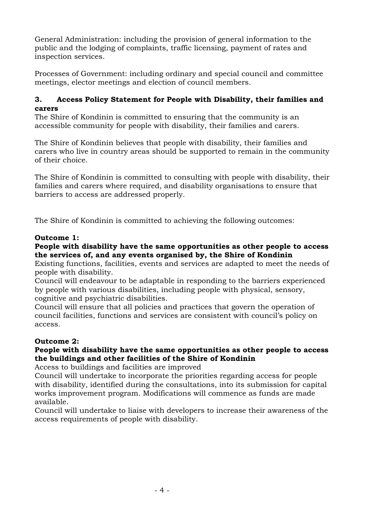General Administration: including the provision of general information to the public and the lodging of complaints, traffic licensing, payment of rates and inspection services.

Processes of Government: including ordinary and special council and committee meetings, elector meetings and election of council members.

## **3. Access Policy Statement for People with Disability, their families and carers**

The Shire of Kondinin is committed to ensuring that the community is an accessible community for people with disability, their families and carers.

The Shire of Kondinin believes that people with disability, their families and carers who live in country areas should be supported to remain in the community of their choice.

The Shire of Kondinin is committed to consulting with people with disability, their families and carers where required, and disability organisations to ensure that barriers to access are addressed properly.

The Shire of Kondinin is committed to achieving the following outcomes:

## **Outcome 1:**

## **People with disability have the same opportunities as other people to access the services of, and any events organised by, the Shire of Kondinin**

Existing functions, facilities, events and services are adapted to meet the needs of people with disability.

Council will endeavour to be adaptable in responding to the barriers experienced by people with various disabilities, including people with physical, sensory, cognitive and psychiatric disabilities.

Council will ensure that all policies and practices that govern the operation of council facilities, functions and services are consistent with council's policy on access.

# **Outcome 2:**

## **People with disability have the same opportunities as other people to access the buildings and other facilities of the Shire of Kondinin**

Access to buildings and facilities are improved

Council will undertake to incorporate the priorities regarding access for people with disability, identified during the consultations, into its submission for capital works improvement program. Modifications will commence as funds are made available.

Council will undertake to liaise with developers to increase their awareness of the access requirements of people with disability.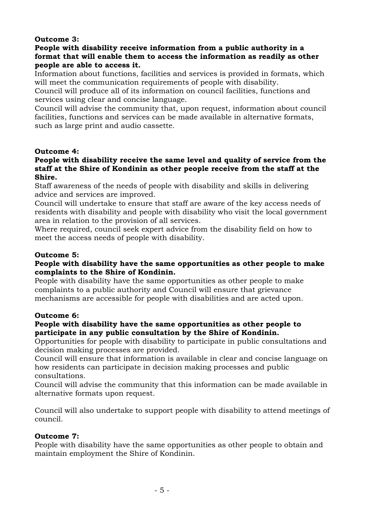## **Outcome 3:**

#### **People with disability receive information from a public authority in a format that will enable them to access the information as readily as other people are able to access it.**

Information about functions, facilities and services is provided in formats, which will meet the communication requirements of people with disability.

Council will produce all of its information on council facilities, functions and services using clear and concise language.

Council will advise the community that, upon request, information about council facilities, functions and services can be made available in alternative formats, such as large print and audio cassette.

#### **Outcome 4:**

#### **People with disability receive the same level and quality of service from the staff at the Shire of Kondinin as other people receive from the staff at the Shire.**

Staff awareness of the needs of people with disability and skills in delivering advice and services are improved.

Council will undertake to ensure that staff are aware of the key access needs of residents with disability and people with disability who visit the local government area in relation to the provision of all services.

Where required, council seek expert advice from the disability field on how to meet the access needs of people with disability.

## **Outcome 5:**

## **People with disability have the same opportunities as other people to make complaints to the Shire of Kondinin.**

People with disability have the same opportunities as other people to make complaints to a public authority and Council will ensure that grievance mechanisms are accessible for people with disabilities and are acted upon.

## **Outcome 6:**

#### **People with disability have the same opportunities as other people to participate in any public consultation by the Shire of Kondinin.**

Opportunities for people with disability to participate in public consultations and decision making processes are provided.

Council will ensure that information is available in clear and concise language on how residents can participate in decision making processes and public consultations.

Council will advise the community that this information can be made available in alternative formats upon request.

Council will also undertake to support people with disability to attend meetings of council.

#### **Outcome 7:**

People with disability have the same opportunities as other people to obtain and maintain employment the Shire of Kondinin.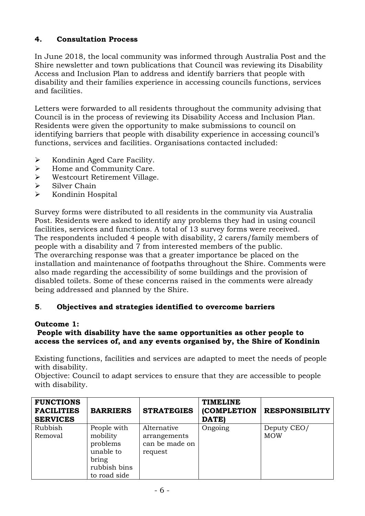# **4. Consultation Process**

In June 2018, the local community was informed through Australia Post and the Shire newsletter and town publications that Council was reviewing its Disability Access and Inclusion Plan to address and identify barriers that people with disability and their families experience in accessing councils functions, services and facilities.

Letters were forwarded to all residents throughout the community advising that Council is in the process of reviewing its Disability Access and Inclusion Plan. Residents were given the opportunity to make submissions to council on identifying barriers that people with disability experience in accessing council's functions, services and facilities. Organisations contacted included:

- $\triangleright$  Kondinin Aged Care Facility.
- $\blacktriangleright$  Home and Community Care.
- Westcourt Retirement Village.
- $\triangleright$  Silver Chain
- $\triangleright$  Kondinin Hospital

Survey forms were distributed to all residents in the community via Australia Post. Residents were asked to identify any problems they had in using council facilities, services and functions. A total of 13 survey forms were received. The respondents included 4 people with disability, 2 carers/family members of people with a disability and 7 from interested members of the public. The overarching response was that a greater importance be placed on the installation and maintenance of footpaths throughout the Shire. Comments were also made regarding the accessibility of some buildings and the provision of disabled toilets. Some of these concerns raised in the comments were already being addressed and planned by the Shire.

## **5**. **Objectives and strategies identified to overcome barriers**

## **Outcome 1:**

## **People with disability have the same opportunities as other people to access the services of, and any events organised by, the Shire of Kondinin**

Existing functions, facilities and services are adapted to meet the needs of people with disability.

Objective: Council to adapt services to ensure that they are accessible to people with disability.

| <b>FUNCTIONS</b><br><b>FACILITIES</b><br><b>SERVICES</b> | <b>BARRIERS</b>                                                                           | <b>STRATEGIES</b>                                        | <b>TIMELINE</b><br>(COMPLETION<br>DATE) | <b>RESPONSIBILITY</b>     |
|----------------------------------------------------------|-------------------------------------------------------------------------------------------|----------------------------------------------------------|-----------------------------------------|---------------------------|
| Rubbish<br>Removal                                       | People with<br>mobility<br>problems<br>unable to<br>bring<br>rubbish bins<br>to road side | Alternative<br>arrangements<br>can be made on<br>request | Ongoing                                 | Deputy CEO/<br><b>MOW</b> |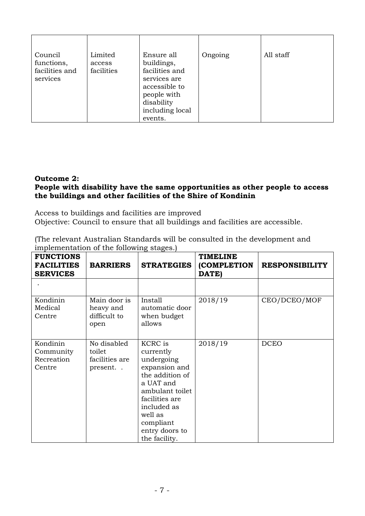| Council<br>functions,<br>facilities and<br>services | Limited<br>access<br>facilities | Ensure all<br>buildings,<br>facilities and<br>services are<br>accessible to<br>people with<br>disability | Ongoing | All staff |
|-----------------------------------------------------|---------------------------------|----------------------------------------------------------------------------------------------------------|---------|-----------|
|                                                     |                                 | including local                                                                                          |         |           |
|                                                     |                                 | events.                                                                                                  |         |           |

## **Outcome 2:**

## **People with disability have the same opportunities as other people to access the buildings and other facilities of the Shire of Kondinin**

Access to buildings and facilities are improved Objective: Council to ensure that all buildings and facilities are accessible.

| (The relevant Australian Standards will be consulted in the development and |  |
|-----------------------------------------------------------------------------|--|
| implementation of the following stages.                                     |  |

| <b>FUNCTIONS</b><br><b>FACILITIES</b><br><b>SERVICES</b> | <b>BARRIERS</b>                                    | <b>STRATEGIES</b>                                                                                                                                                                                         | <b>TIMELINE</b><br><b>(COMPLETION</b><br>DATE) | <b>RESPONSIBILITY</b> |
|----------------------------------------------------------|----------------------------------------------------|-----------------------------------------------------------------------------------------------------------------------------------------------------------------------------------------------------------|------------------------------------------------|-----------------------|
|                                                          |                                                    |                                                                                                                                                                                                           |                                                |                       |
| Kondinin<br>Medical<br>Centre                            | Main door is<br>heavy and<br>difficult to<br>open  | Install<br>automatic door<br>when budget<br>allows                                                                                                                                                        | 2018/19                                        | CEO/DCEO/MOF          |
| Kondinin<br>Community<br>Recreation<br>Centre            | No disabled<br>toilet<br>facilities are<br>present | <b>KCRC</b> is<br>currently<br>undergoing<br>expansion and<br>the addition of<br>a UAT and<br>ambulant toilet<br>facilities are<br>included as<br>well as<br>compliant<br>entry doors to<br>the facility. | 2018/19                                        | <b>DCEO</b>           |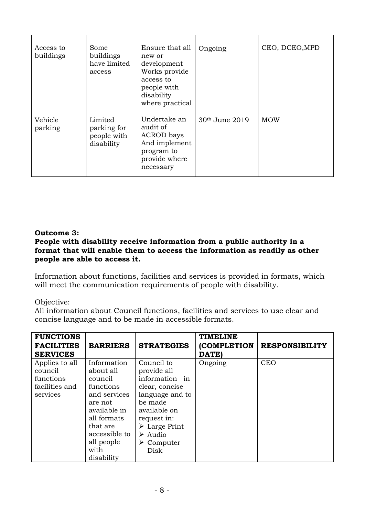| Access to<br>buildings | Some<br>buildings<br>have limited<br>access         | Ensure that all<br>new or<br>development<br>Works provide<br>access to<br>people with<br>disability<br>where practical | Ongoing        | CEO, DCEO, MPD |
|------------------------|-----------------------------------------------------|------------------------------------------------------------------------------------------------------------------------|----------------|----------------|
| Vehicle<br>parking     | Limited<br>parking for<br>people with<br>disability | Undertake an<br>audit of<br><b>ACROD</b> bays<br>And implement<br>program to<br>provide where<br>necessary             | 30th June 2019 | <b>MOW</b>     |

#### **Outcome 3:**

#### **People with disability receive information from a public authority in a format that will enable them to access the information as readily as other people are able to access it.**

Information about functions, facilities and services is provided in formats, which will meet the communication requirements of people with disability.

#### Objective:

All information about Council functions, facilities and services to use clear and concise language and to be made in accessible formats.

| <b>FUNCTIONS</b><br><b>FACILITIES</b><br><b>SERVICES</b>             | <b>BARRIERS</b>                                                                                                                                                             | <b>STRATEGIES</b>                                                                                                                                                                                                         | <b>TIMELINE</b><br><b>(COMPLETION</b><br>DATE) | <b>RESPONSIBILITY</b> |
|----------------------------------------------------------------------|-----------------------------------------------------------------------------------------------------------------------------------------------------------------------------|---------------------------------------------------------------------------------------------------------------------------------------------------------------------------------------------------------------------------|------------------------------------------------|-----------------------|
| Applies to all<br>council<br>functions<br>facilities and<br>services | Information<br>about all<br>council<br>functions<br>and services<br>are not<br>available in<br>all formats<br>that are<br>accessible to<br>all people<br>with<br>disability | Council to<br>provide all<br>information in<br>clear, concise<br>language and to<br>be made<br>available on<br>request in:<br>$\triangleright$ Large Print<br>$\triangleright$ Audio<br>$\triangleright$ Computer<br>Disk | Ongoing                                        | <b>CEO</b>            |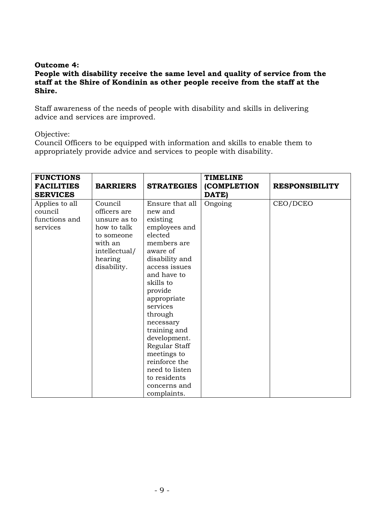#### **Outcome 4:**

#### **People with disability receive the same level and quality of service from the staff at the Shire of Kondinin as other people receive from the staff at the Shire.**

Staff awareness of the needs of people with disability and skills in delivering advice and services are improved.

#### Objective:

Council Officers to be equipped with information and skills to enable them to appropriately provide advice and services to people with disability.

| <b>FUNCTIONS</b><br><b>FACILITIES</b><br><b>SERVICES</b> | <b>BARRIERS</b>                                                                                                            | <b>STRATEGIES</b>                                                                                                                                                                                                                                                                                                                                                            | <b>TIMELINE</b><br>(COMPLETION<br>DATE) | <b>RESPONSIBILITY</b> |
|----------------------------------------------------------|----------------------------------------------------------------------------------------------------------------------------|------------------------------------------------------------------------------------------------------------------------------------------------------------------------------------------------------------------------------------------------------------------------------------------------------------------------------------------------------------------------------|-----------------------------------------|-----------------------|
| Applies to all<br>council<br>functions and<br>services   | Council<br>officers are<br>unsure as to<br>how to talk<br>to someone<br>with an<br>intellectual/<br>hearing<br>disability. | Ensure that all<br>new and<br>existing<br>employees and<br>elected<br>members are<br>aware of<br>disability and<br>access issues<br>and have to<br>skills to<br>provide<br>appropriate<br>services<br>through<br>necessary<br>training and<br>development.<br>Regular Staff<br>meetings to<br>reinforce the<br>need to listen<br>to residents<br>concerns and<br>complaints. | Ongoing                                 | CEO/DCEO              |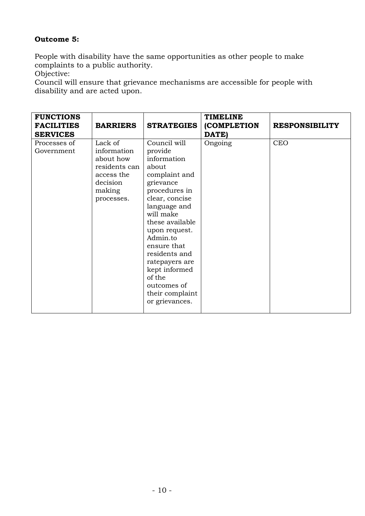# **Outcome 5:**

People with disability have the same opportunities as other people to make complaints to a public authority.

Objective:

Council will ensure that grievance mechanisms are accessible for people with disability and are acted upon.

| <b>FUNCTIONS</b><br><b>FACILITIES</b><br><b>SERVICES</b> | <b>BARRIERS</b>                                                                                        | <b>STRATEGIES</b>                                                                                                                                                                                                                                                                                                              | <b>TIMELINE</b><br>(COMPLETION<br>DATE) | <b>RESPONSIBILITY</b> |
|----------------------------------------------------------|--------------------------------------------------------------------------------------------------------|--------------------------------------------------------------------------------------------------------------------------------------------------------------------------------------------------------------------------------------------------------------------------------------------------------------------------------|-----------------------------------------|-----------------------|
| Processes of<br>Government                               | Lack of<br>information<br>about how<br>residents can<br>access the<br>decision<br>making<br>processes. | Council will<br>provide<br>information<br>about<br>complaint and<br>grievance<br>procedures in<br>clear, concise<br>language and<br>will make<br>these available<br>upon request.<br>Admin.to<br>ensure that<br>residents and<br>ratepayers are<br>kept informed<br>of the<br>outcomes of<br>their complaint<br>or grievances. | Ongoing                                 | <b>CEO</b>            |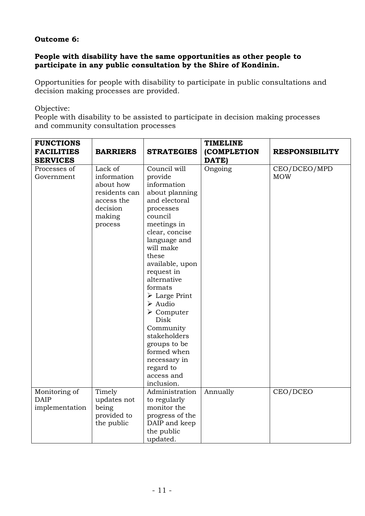## **Outcome 6:**

#### **People with disability have the same opportunities as other people to participate in any public consultation by the Shire of Kondinin.**

Opportunities for people with disability to participate in public consultations and decision making processes are provided.

Objective:

People with disability to be assisted to participate in decision making processes and community consultation processes

| <b>FUNCTIONS</b>  |                 |                              | <b>TIMELINE</b> |                       |
|-------------------|-----------------|------------------------------|-----------------|-----------------------|
|                   |                 |                              |                 |                       |
| <b>FACILITIES</b> | <b>BARRIERS</b> | <b>STRATEGIES</b>            | (COMPLETION     | <b>RESPONSIBILITY</b> |
| <b>SERVICES</b>   |                 |                              | DATE)           |                       |
| Processes of      | Lack of         | Council will                 | Ongoing         | CEO/DCEO/MPD          |
| Government        | information     | provide                      |                 | <b>MOW</b>            |
|                   | about how       | information                  |                 |                       |
|                   | residents can   | about planning               |                 |                       |
|                   | access the      | and electoral                |                 |                       |
|                   | decision        | processes                    |                 |                       |
|                   | making          | council                      |                 |                       |
|                   | process         | meetings in                  |                 |                       |
|                   |                 | clear, concise               |                 |                       |
|                   |                 | language and                 |                 |                       |
|                   |                 | will make                    |                 |                       |
|                   |                 | these                        |                 |                       |
|                   |                 | available, upon              |                 |                       |
|                   |                 | request in                   |                 |                       |
|                   |                 | alternative                  |                 |                       |
|                   |                 | formats                      |                 |                       |
|                   |                 | $\triangleright$ Large Print |                 |                       |
|                   |                 | $\triangleright$ Audio       |                 |                       |
|                   |                 | $\triangleright$ Computer    |                 |                       |
|                   |                 | Disk                         |                 |                       |
|                   |                 | Community                    |                 |                       |
|                   |                 | stakeholders                 |                 |                       |
|                   |                 | groups to be                 |                 |                       |
|                   |                 | formed when                  |                 |                       |
|                   |                 | necessary in                 |                 |                       |
|                   |                 | regard to                    |                 |                       |
|                   |                 | access and                   |                 |                       |
|                   |                 | inclusion.                   |                 |                       |
| Monitoring of     | Timely          | Administration               | Annually        | CEO/DCEO              |
| <b>DAIP</b>       | updates not     | to regularly                 |                 |                       |
| implementation    | being           | monitor the                  |                 |                       |
|                   | provided to     | progress of the              |                 |                       |
|                   | the public      | DAIP and keep                |                 |                       |
|                   |                 | the public                   |                 |                       |
|                   |                 | updated.                     |                 |                       |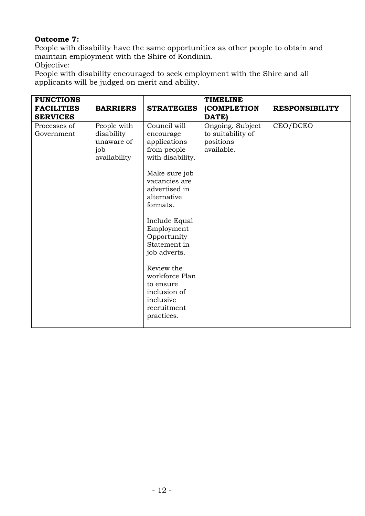# **Outcome 7:**

People with disability have the same opportunities as other people to obtain and maintain employment with the Shire of Kondinin.

Objective:

People with disability encouraged to seek employment with the Shire and all applicants will be judged on merit and ability.

| <b>FUNCTIONS</b><br><b>FACILITIES</b><br><b>SERVICES</b> | <b>BARRIERS</b>                                                | <b>STRATEGIES</b>                                                                                                                                                                                                                                                                                                                               | <b>TIMELINE</b><br>(COMPLETION<br>DATE)                          | <b>RESPONSIBILITY</b> |
|----------------------------------------------------------|----------------------------------------------------------------|-------------------------------------------------------------------------------------------------------------------------------------------------------------------------------------------------------------------------------------------------------------------------------------------------------------------------------------------------|------------------------------------------------------------------|-----------------------|
| Processes of<br>Government                               | People with<br>disability<br>unaware of<br>job<br>availability | Council will<br>encourage<br>applications<br>from people<br>with disability.<br>Make sure job<br>vacancies are<br>advertised in<br>alternative<br>formats.<br>Include Equal<br>Employment<br>Opportunity<br>Statement in<br>job adverts.<br>Review the<br>workforce Plan<br>to ensure<br>inclusion of<br>inclusive<br>recruitment<br>practices. | Ongoing. Subject<br>to suitability of<br>positions<br>available. | CEO/DCEO              |